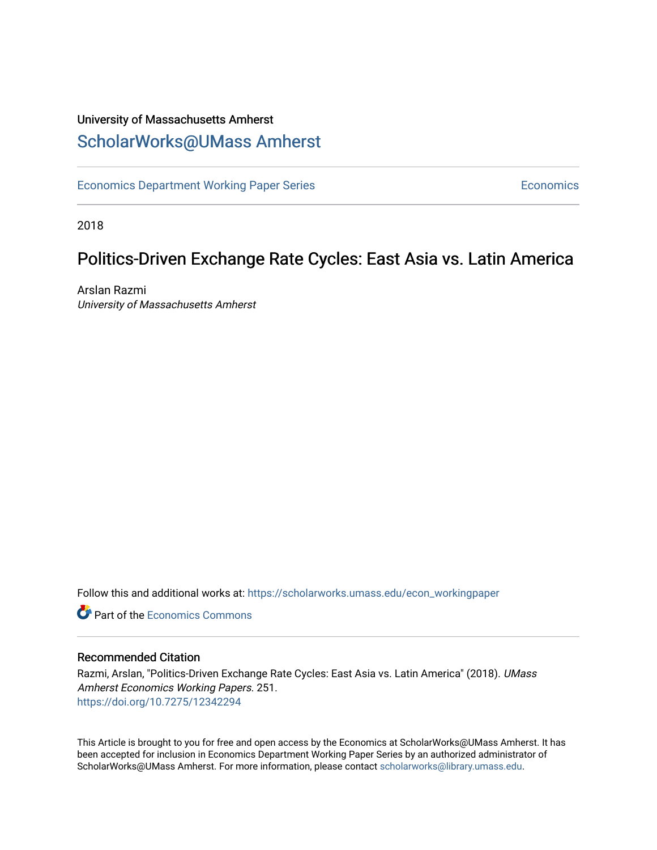## University of Massachusetts Amherst [ScholarWorks@UMass Amherst](https://scholarworks.umass.edu/)

[Economics Department Working Paper Series](https://scholarworks.umass.edu/econ_workingpaper) **Economics** Economics

2018

# Politics-Driven Exchange Rate Cycles: East Asia vs. Latin America

Arslan Razmi University of Massachusetts Amherst

Follow this and additional works at: [https://scholarworks.umass.edu/econ\\_workingpaper](https://scholarworks.umass.edu/econ_workingpaper?utm_source=scholarworks.umass.edu%2Fecon_workingpaper%2F251&utm_medium=PDF&utm_campaign=PDFCoverPages) 

**C** Part of the [Economics Commons](http://network.bepress.com/hgg/discipline/340?utm_source=scholarworks.umass.edu%2Fecon_workingpaper%2F251&utm_medium=PDF&utm_campaign=PDFCoverPages)

#### Recommended Citation

Razmi, Arslan, "Politics-Driven Exchange Rate Cycles: East Asia vs. Latin America" (2018). UMass Amherst Economics Working Papers. 251. <https://doi.org/10.7275/12342294>

This Article is brought to you for free and open access by the Economics at ScholarWorks@UMass Amherst. It has been accepted for inclusion in Economics Department Working Paper Series by an authorized administrator of ScholarWorks@UMass Amherst. For more information, please contact [scholarworks@library.umass.edu.](mailto:scholarworks@library.umass.edu)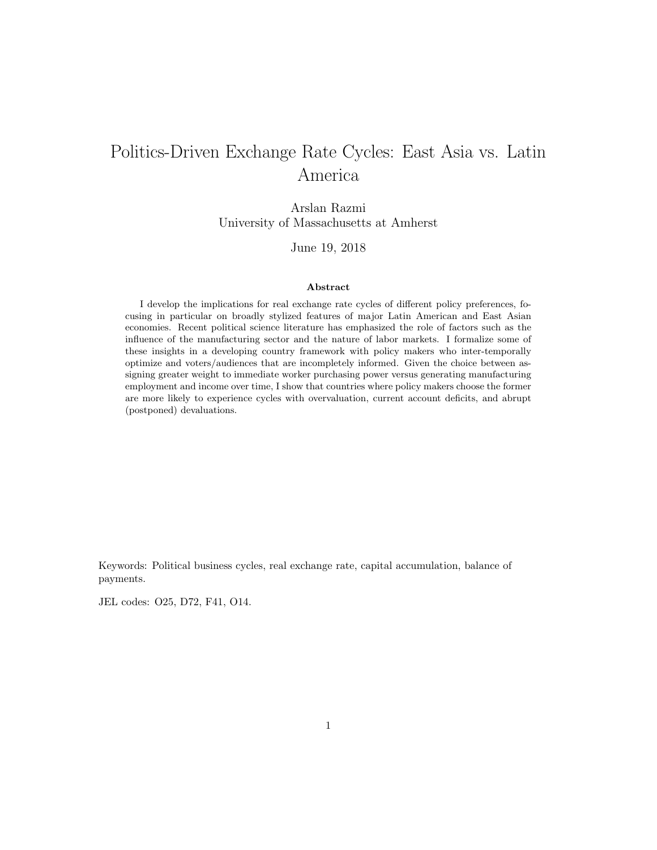# Politics-Driven Exchange Rate Cycles: East Asia vs. Latin America

Arslan Razmi University of Massachusetts at Amherst

June 19, 2018

#### Abstract

I develop the implications for real exchange rate cycles of different policy preferences, focusing in particular on broadly stylized features of major Latin American and East Asian economies. Recent political science literature has emphasized the role of factors such as the influence of the manufacturing sector and the nature of labor markets. I formalize some of these insights in a developing country framework with policy makers who inter-temporally optimize and voters/audiences that are incompletely informed. Given the choice between assigning greater weight to immediate worker purchasing power versus generating manufacturing employment and income over time, I show that countries where policy makers choose the former are more likely to experience cycles with overvaluation, current account deficits, and abrupt (postponed) devaluations.

Keywords: Political business cycles, real exchange rate, capital accumulation, balance of payments.

JEL codes: O25, D72, F41, O14.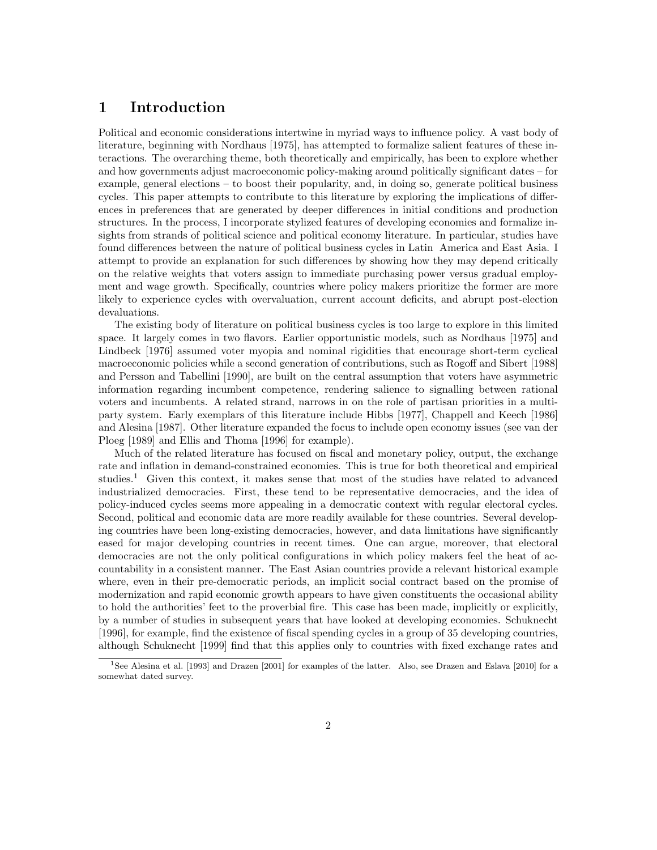### 1 Introduction

Political and economic considerations intertwine in myriad ways to influence policy. A vast body of literature, beginning with Nordhaus [1975], has attempted to formalize salient features of these interactions. The overarching theme, both theoretically and empirically, has been to explore whether and how governments adjust macroeconomic policy-making around politically significant dates – for example, general elections – to boost their popularity, and, in doing so, generate political business cycles. This paper attempts to contribute to this literature by exploring the implications of differences in preferences that are generated by deeper differences in initial conditions and production structures. In the process, I incorporate stylized features of developing economies and formalize insights from strands of political science and political economy literature. In particular, studies have found differences between the nature of political business cycles in Latin America and East Asia. I attempt to provide an explanation for such differences by showing how they may depend critically on the relative weights that voters assign to immediate purchasing power versus gradual employment and wage growth. Specifically, countries where policy makers prioritize the former are more likely to experience cycles with overvaluation, current account deficits, and abrupt post-election devaluations.

The existing body of literature on political business cycles is too large to explore in this limited space. It largely comes in two flavors. Earlier opportunistic models, such as Nordhaus [1975] and Lindbeck [1976] assumed voter myopia and nominal rigidities that encourage short-term cyclical macroeconomic policies while a second generation of contributions, such as Rogoff and Sibert [1988] and Persson and Tabellini [1990], are built on the central assumption that voters have asymmetric information regarding incumbent competence, rendering salience to signalling between rational voters and incumbents. A related strand, narrows in on the role of partisan priorities in a multiparty system. Early exemplars of this literature include Hibbs [1977], Chappell and Keech [1986] and Alesina [1987]. Other literature expanded the focus to include open economy issues (see van der Ploeg [1989] and Ellis and Thoma [1996] for example).

Much of the related literature has focused on fiscal and monetary policy, output, the exchange rate and inflation in demand-constrained economies. This is true for both theoretical and empirical studies.<sup>1</sup> Given this context, it makes sense that most of the studies have related to advanced industrialized democracies. First, these tend to be representative democracies, and the idea of policy-induced cycles seems more appealing in a democratic context with regular electoral cycles. Second, political and economic data are more readily available for these countries. Several developing countries have been long-existing democracies, however, and data limitations have significantly eased for major developing countries in recent times. One can argue, moreover, that electoral democracies are not the only political configurations in which policy makers feel the heat of accountability in a consistent manner. The East Asian countries provide a relevant historical example where, even in their pre-democratic periods, an implicit social contract based on the promise of modernization and rapid economic growth appears to have given constituents the occasional ability to hold the authorities' feet to the proverbial fire. This case has been made, implicitly or explicitly, by a number of studies in subsequent years that have looked at developing economies. Schuknecht [1996], for example, find the existence of fiscal spending cycles in a group of 35 developing countries, although Schuknecht [1999] find that this applies only to countries with fixed exchange rates and

<sup>1</sup>See Alesina et al. [1993] and Drazen [2001] for examples of the latter. Also, see Drazen and Eslava [2010] for a somewhat dated survey.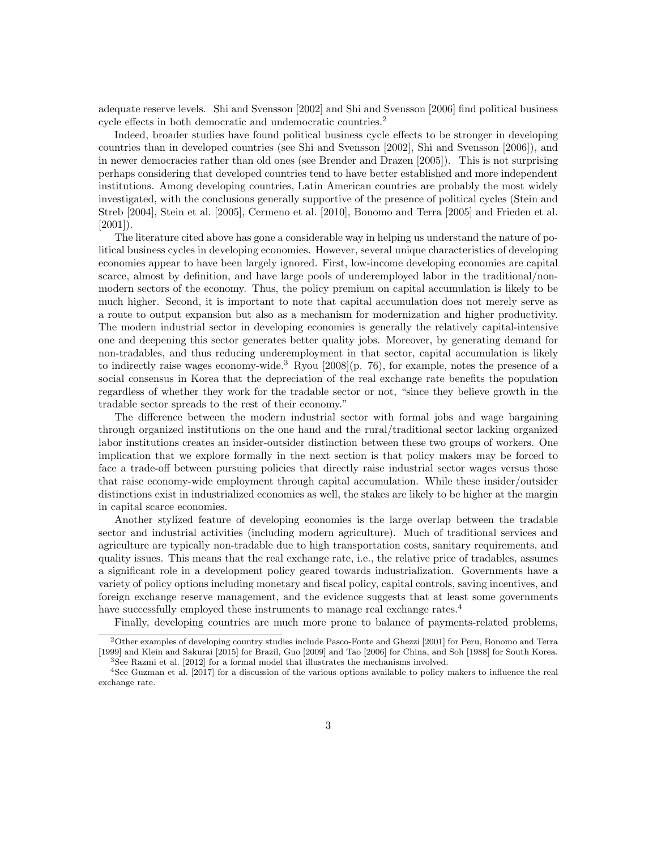adequate reserve levels. Shi and Svensson [2002] and Shi and Svensson [2006] find political business cycle effects in both democratic and undemocratic countries.<sup>2</sup>

Indeed, broader studies have found political business cycle effects to be stronger in developing countries than in developed countries (see Shi and Svensson [2002], Shi and Svensson [2006]), and in newer democracies rather than old ones (see Brender and Drazen [2005]). This is not surprising perhaps considering that developed countries tend to have better established and more independent institutions. Among developing countries, Latin American countries are probably the most widely investigated, with the conclusions generally supportive of the presence of political cycles (Stein and Streb [2004], Stein et al. [2005], Cermeno et al. [2010], Bonomo and Terra [2005] and Frieden et al.  $[2001]$ ).

The literature cited above has gone a considerable way in helping us understand the nature of political business cycles in developing economies. However, several unique characteristics of developing economies appear to have been largely ignored. First, low-income developing economies are capital scarce, almost by definition, and have large pools of underemployed labor in the traditional/nonmodern sectors of the economy. Thus, the policy premium on capital accumulation is likely to be much higher. Second, it is important to note that capital accumulation does not merely serve as a route to output expansion but also as a mechanism for modernization and higher productivity. The modern industrial sector in developing economies is generally the relatively capital-intensive one and deepening this sector generates better quality jobs. Moreover, by generating demand for non-tradables, and thus reducing underemployment in that sector, capital accumulation is likely to indirectly raise wages economy-wide.<sup>3</sup> Ryou [2008](p. 76), for example, notes the presence of a social consensus in Korea that the depreciation of the real exchange rate benefits the population regardless of whether they work for the tradable sector or not, "since they believe growth in the tradable sector spreads to the rest of their economy."

The difference between the modern industrial sector with formal jobs and wage bargaining through organized institutions on the one hand and the rural/traditional sector lacking organized labor institutions creates an insider-outsider distinction between these two groups of workers. One implication that we explore formally in the next section is that policy makers may be forced to face a trade-off between pursuing policies that directly raise industrial sector wages versus those that raise economy-wide employment through capital accumulation. While these insider/outsider distinctions exist in industrialized economies as well, the stakes are likely to be higher at the margin in capital scarce economies.

Another stylized feature of developing economies is the large overlap between the tradable sector and industrial activities (including modern agriculture). Much of traditional services and agriculture are typically non-tradable due to high transportation costs, sanitary requirements, and quality issues. This means that the real exchange rate, i.e., the relative price of tradables, assumes a significant role in a development policy geared towards industrialization. Governments have a variety of policy options including monetary and fiscal policy, capital controls, saving incentives, and foreign exchange reserve management, and the evidence suggests that at least some governments have successfully employed these instruments to manage real exchange rates.<sup>4</sup>

Finally, developing countries are much more prone to balance of payments-related problems,

<sup>2</sup>Other examples of developing country studies include Pasco-Fonte and Ghezzi [2001] for Peru, Bonomo and Terra [1999] and Klein and Sakurai [2015] for Brazil, Guo [2009] and Tao [2006] for China, and Soh [1988] for South Korea. <sup>3</sup>See Razmi et al. [2012] for a formal model that illustrates the mechanisms involved.

<sup>4</sup>See Guzman et al. [2017] for a discussion of the various options available to policy makers to influence the real exchange rate.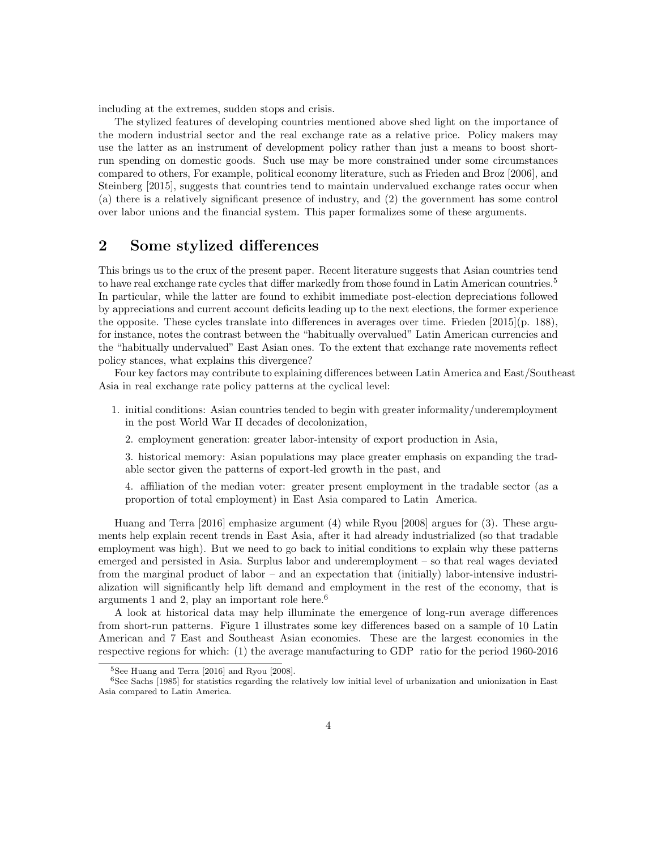including at the extremes, sudden stops and crisis.

The stylized features of developing countries mentioned above shed light on the importance of the modern industrial sector and the real exchange rate as a relative price. Policy makers may use the latter as an instrument of development policy rather than just a means to boost shortrun spending on domestic goods. Such use may be more constrained under some circumstances compared to others, For example, political economy literature, such as Frieden and Broz [2006], and Steinberg [2015], suggests that countries tend to maintain undervalued exchange rates occur when (a) there is a relatively significant presence of industry, and (2) the government has some control over labor unions and the financial system. This paper formalizes some of these arguments.

#### 2 Some stylized differences

This brings us to the crux of the present paper. Recent literature suggests that Asian countries tend to have real exchange rate cycles that differ markedly from those found in Latin American countries.<sup>5</sup> In particular, while the latter are found to exhibit immediate post-election depreciations followed by appreciations and current account deficits leading up to the next elections, the former experience the opposite. These cycles translate into differences in averages over time. Frieden [2015](p. 188), for instance, notes the contrast between the "habitually overvalued" Latin American currencies and the "habitually undervalued" East Asian ones. To the extent that exchange rate movements reflect policy stances, what explains this divergence?

Four key factors may contribute to explaining differences between Latin America and East/Southeast Asia in real exchange rate policy patterns at the cyclical level:

- 1. initial conditions: Asian countries tended to begin with greater informality/underemployment in the post World War II decades of decolonization,
	- 2. employment generation: greater labor-intensity of export production in Asia,

3. historical memory: Asian populations may place greater emphasis on expanding the tradable sector given the patterns of export-led growth in the past, and

4. affiliation of the median voter: greater present employment in the tradable sector (as a proportion of total employment) in East Asia compared to Latin America.

Huang and Terra [2016] emphasize argument (4) while Ryou [2008] argues for (3). These arguments help explain recent trends in East Asia, after it had already industrialized (so that tradable employment was high). But we need to go back to initial conditions to explain why these patterns emerged and persisted in Asia. Surplus labor and underemployment – so that real wages deviated from the marginal product of labor – and an expectation that (initially) labor-intensive industrialization will significantly help lift demand and employment in the rest of the economy, that is arguments 1 and 2, play an important role here.<sup>6</sup>

A look at historical data may help illuminate the emergence of long-run average differences from short-run patterns. Figure 1 illustrates some key differences based on a sample of 10 Latin American and 7 East and Southeast Asian economies. These are the largest economies in the respective regions for which: (1) the average manufacturing to GDP ratio for the period 1960-2016

<sup>5</sup>See Huang and Terra [2016] and Ryou [2008].

<sup>6</sup>See Sachs [1985] for statistics regarding the relatively low initial level of urbanization and unionization in East Asia compared to Latin America.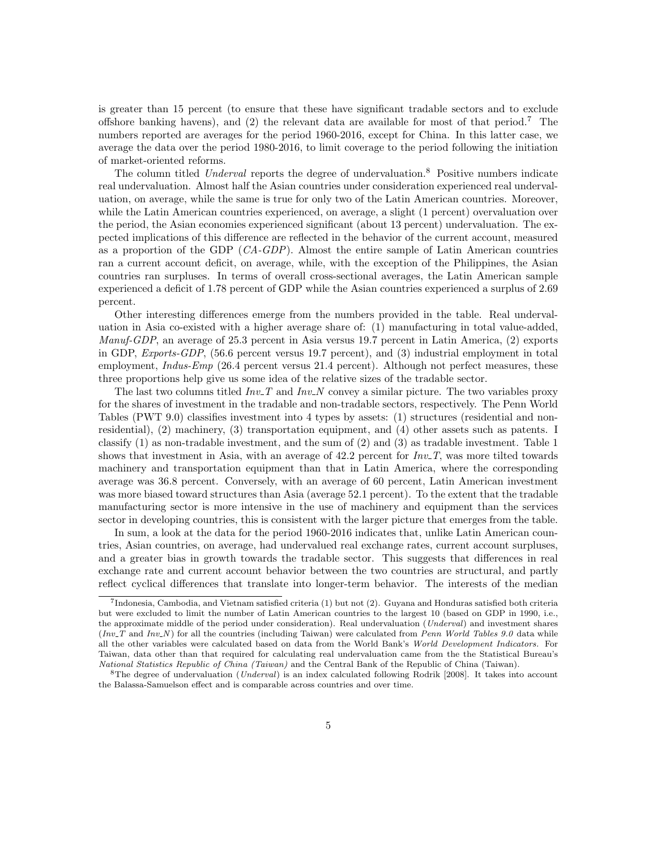is greater than 15 percent (to ensure that these have significant tradable sectors and to exclude offshore banking havens), and (2) the relevant data are available for most of that period.<sup>7</sup> The numbers reported are averages for the period 1960-2016, except for China. In this latter case, we average the data over the period 1980-2016, to limit coverage to the period following the initiation of market-oriented reforms.

The column titled Underval reports the degree of undervaluation.<sup>8</sup> Positive numbers indicate real undervaluation. Almost half the Asian countries under consideration experienced real undervaluation, on average, while the same is true for only two of the Latin American countries. Moreover, while the Latin American countries experienced, on average, a slight (1 percent) overvaluation over the period, the Asian economies experienced significant (about 13 percent) undervaluation. The expected implications of this difference are reflected in the behavior of the current account, measured as a proportion of the GDP (CA-GDP). Almost the entire sample of Latin American countries ran a current account deficit, on average, while, with the exception of the Philippines, the Asian countries ran surpluses. In terms of overall cross-sectional averages, the Latin American sample experienced a deficit of 1.78 percent of GDP while the Asian countries experienced a surplus of 2.69 percent.

Other interesting differences emerge from the numbers provided in the table. Real undervaluation in Asia co-existed with a higher average share of: (1) manufacturing in total value-added, Manuf-GDP, an average of 25.3 percent in Asia versus 19.7 percent in Latin America, (2) exports in GDP, Exports-GDP, (56.6 percent versus 19.7 percent), and (3) industrial employment in total employment, *Indus-Emp* (26.4 percent versus 21.4 percent). Although not perfect measures, these three proportions help give us some idea of the relative sizes of the tradable sector.

The last two columns titled  $Inv_T$  and  $Inv_N$  convey a similar picture. The two variables proxy for the shares of investment in the tradable and non-tradable sectors, respectively. The Penn World Tables (PWT 9.0) classifies investment into 4 types by assets: (1) structures (residential and nonresidential), (2) machinery, (3) transportation equipment, and (4) other assets such as patents. I classify (1) as non-tradable investment, and the sum of (2) and (3) as tradable investment. Table 1 shows that investment in Asia, with an average of 42.2 percent for  $Inv_T$ , was more tilted towards machinery and transportation equipment than that in Latin America, where the corresponding average was 36.8 percent. Conversely, with an average of 60 percent, Latin American investment was more biased toward structures than Asia (average 52.1 percent). To the extent that the tradable manufacturing sector is more intensive in the use of machinery and equipment than the services sector in developing countries, this is consistent with the larger picture that emerges from the table.

In sum, a look at the data for the period 1960-2016 indicates that, unlike Latin American countries, Asian countries, on average, had undervalued real exchange rates, current account surpluses, and a greater bias in growth towards the tradable sector. This suggests that differences in real exchange rate and current account behavior between the two countries are structural, and partly reflect cyclical differences that translate into longer-term behavior. The interests of the median

<sup>7</sup> Indonesia, Cambodia, and Vietnam satisfied criteria (1) but not (2). Guyana and Honduras satisfied both criteria but were excluded to limit the number of Latin American countries to the largest 10 (based on GDP in 1990, i.e., the approximate middle of the period under consideration). Real undervaluation (Underval) and investment shares  $(Inv_T \text{ and } Inv_N)$  for all the countries (including Taiwan) were calculated from Penn World Tables 9.0 data while all the other variables were calculated based on data from the World Bank's World Development Indicators. For Taiwan, data other than that required for calculating real undervaluation came from the the Statistical Bureau's National Statistics Republic of China (Taiwan) and the Central Bank of the Republic of China (Taiwan).

<sup>&</sup>lt;sup>8</sup>The degree of undervaluation (*Underval*) is an index calculated following Rodrik [2008]. It takes into account the Balassa-Samuelson effect and is comparable across countries and over time.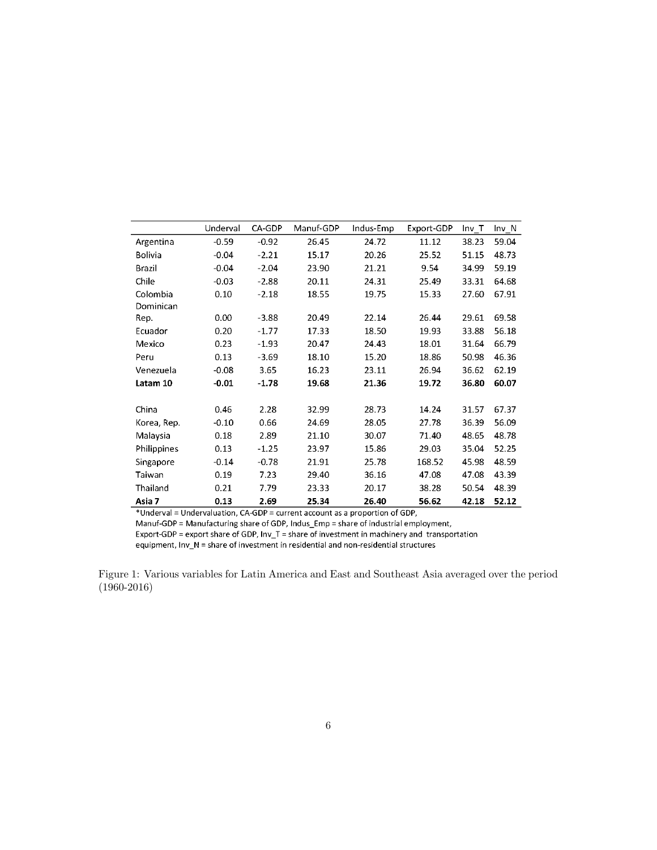|                | Underval | CA-GDP  | Manuf-GDP | Indus-Emp | Export-GDP | Inv T | Inv N |
|----------------|----------|---------|-----------|-----------|------------|-------|-------|
| Argentina      | $-0.59$  | $-0.92$ | 26.45     | 24.72     | 11.12      | 38.23 | 59.04 |
| <b>Bolivia</b> | $-0.04$  | $-2.21$ | 15.17     | 20.26     | 25.52      | 51.15 | 48.73 |
| <b>Brazil</b>  | $-0.04$  | $-2.04$ | 23.90     | 21.21     | 9.54       | 34.99 | 59.19 |
| Chile          | $-0.03$  | $-2.88$ | 20.11     | 24.31     | 25.49      | 33.31 | 64.68 |
| Colombia       | 0.10     | $-2.18$ | 18.55     | 19.75     | 15.33      | 27.60 | 67.91 |
| Dominican      |          |         |           |           |            |       |       |
| Rep.           | 0.00     | $-3.88$ | 20.49     | 22.14     | 26.44      | 29.61 | 69.58 |
| Ecuador        | 0.20     | $-1.77$ | 17.33     | 18.50     | 19.93      | 33.88 | 56.18 |
| Mexico         | 0.23     | $-1.93$ | 20.47     | 24.43     | 18.01      | 31.64 | 66.79 |
| Peru           | 0.13     | $-3.69$ | 18.10     | 15.20     | 18.86      | 50.98 | 46.36 |
| Venezuela      | $-0.08$  | 3.65    | 16.23     | 23.11     | 26.94      | 36.62 | 62.19 |
| Latam 10       | $-0.01$  | $-1.78$ | 19.68     | 21.36     | 19.72      | 36.80 | 60.07 |
|                |          |         |           |           |            |       |       |
| China          | 0.46     | 2.28    | 32.99     | 28.73     | 14.24      | 31.57 | 67.37 |
| Korea, Rep.    | $-0.10$  | 0.66    | 24.69     | 28.05     | 27.78      | 36.39 | 56.09 |
| Malaysia       | 0.18     | 2.89    | 21.10     | 30.07     | 71.40      | 48.65 | 48.78 |
| Philippines    | 0.13     | $-1.25$ | 23.97     | 15.86     | 29.03      | 35.04 | 52.25 |
| Singapore      | $-0.14$  | $-0.78$ | 21.91     | 25.78     | 168.52     | 45.98 | 48.59 |
| Taiwan         | 0.19     | 7.23    | 29.40     | 36.16     | 47.08      | 47.08 | 43.39 |
| Thailand       | 0.21     | 7.79    | 23.33     | 20.17     | 38.28      | 50.54 | 48.39 |
| Asia 7         | 0.13     | 2.69    | 25.34     | 26.40     | 56.62      | 42.18 | 52.12 |

\*Underval = Undervaluation, CA-GDP = current account as a proportion of GDP,

Manuf-GDP = Manufacturing share of GDP, Indus\_Emp = share of industrial employment,

Export-GDP = export share of GDP,  $Inv_T = share$  of investment in machinery and transportation equipment, Inv\_N = share of investment in residential and non-residential structures

Figure 1: Various variables for Latin America and East and Southeast Asia averaged over the period (1960-2016)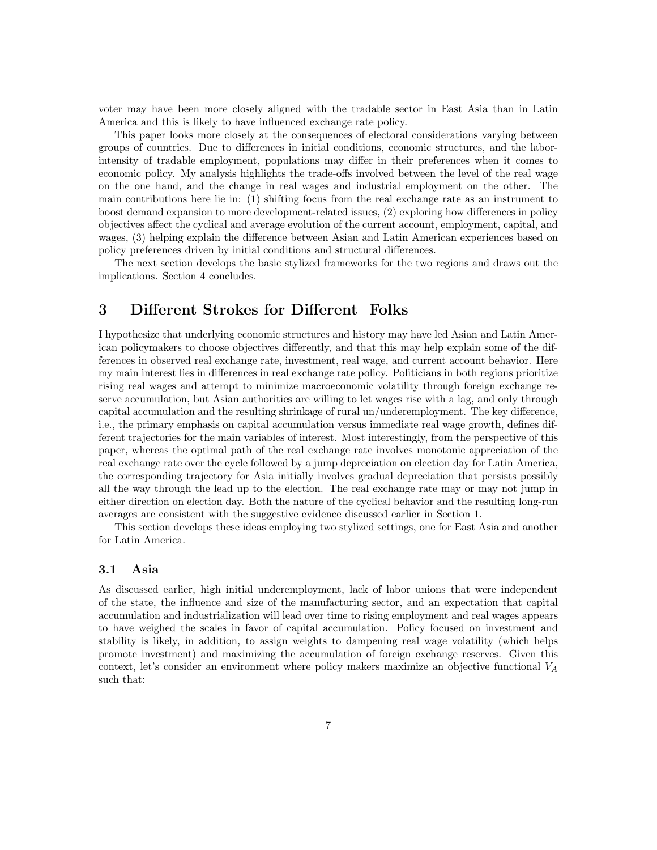voter may have been more closely aligned with the tradable sector in East Asia than in Latin America and this is likely to have influenced exchange rate policy.

This paper looks more closely at the consequences of electoral considerations varying between groups of countries. Due to differences in initial conditions, economic structures, and the laborintensity of tradable employment, populations may differ in their preferences when it comes to economic policy. My analysis highlights the trade-offs involved between the level of the real wage on the one hand, and the change in real wages and industrial employment on the other. The main contributions here lie in: (1) shifting focus from the real exchange rate as an instrument to boost demand expansion to more development-related issues, (2) exploring how differences in policy objectives affect the cyclical and average evolution of the current account, employment, capital, and wages, (3) helping explain the difference between Asian and Latin American experiences based on policy preferences driven by initial conditions and structural differences.

The next section develops the basic stylized frameworks for the two regions and draws out the implications. Section 4 concludes.

## 3 Different Strokes for Different Folks

I hypothesize that underlying economic structures and history may have led Asian and Latin American policymakers to choose objectives differently, and that this may help explain some of the differences in observed real exchange rate, investment, real wage, and current account behavior. Here my main interest lies in differences in real exchange rate policy. Politicians in both regions prioritize rising real wages and attempt to minimize macroeconomic volatility through foreign exchange reserve accumulation, but Asian authorities are willing to let wages rise with a lag, and only through capital accumulation and the resulting shrinkage of rural un/underemployment. The key difference, i.e., the primary emphasis on capital accumulation versus immediate real wage growth, defines different trajectories for the main variables of interest. Most interestingly, from the perspective of this paper, whereas the optimal path of the real exchange rate involves monotonic appreciation of the real exchange rate over the cycle followed by a jump depreciation on election day for Latin America, the corresponding trajectory for Asia initially involves gradual depreciation that persists possibly all the way through the lead up to the election. The real exchange rate may or may not jump in either direction on election day. Both the nature of the cyclical behavior and the resulting long-run averages are consistent with the suggestive evidence discussed earlier in Section 1.

This section develops these ideas employing two stylized settings, one for East Asia and another for Latin America.

#### 3.1 Asia

As discussed earlier, high initial underemployment, lack of labor unions that were independent of the state, the influence and size of the manufacturing sector, and an expectation that capital accumulation and industrialization will lead over time to rising employment and real wages appears to have weighed the scales in favor of capital accumulation. Policy focused on investment and stability is likely, in addition, to assign weights to dampening real wage volatility (which helps promote investment) and maximizing the accumulation of foreign exchange reserves. Given this context, let's consider an environment where policy makers maximize an objective functional  $V_A$ such that: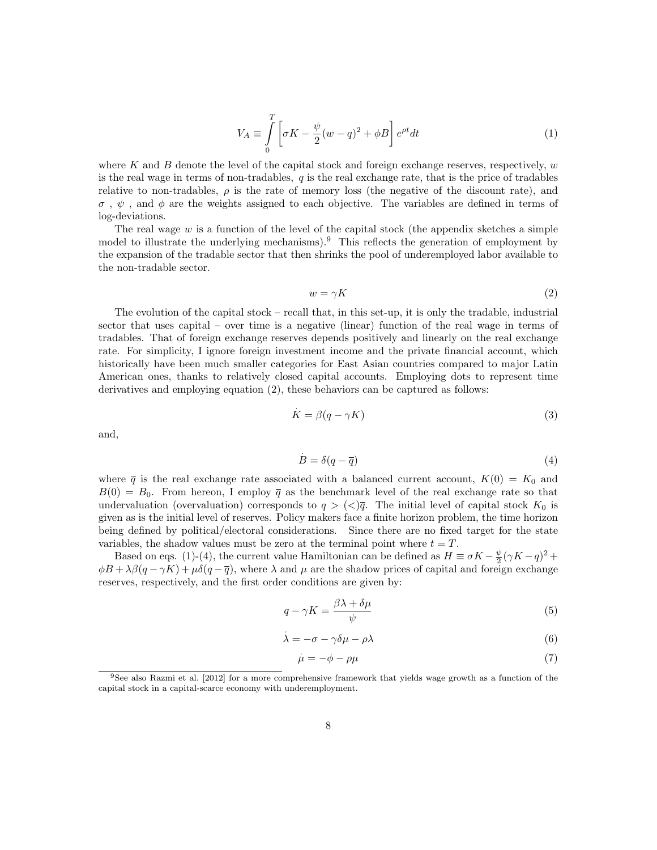$$
V_A \equiv \int\limits_0^T \left[ \sigma K - \frac{\psi}{2} (w - q)^2 + \phi B \right] e^{\rho t} dt \tag{1}
$$

where K and B denote the level of the capital stock and foreign exchange reserves, respectively,  $w$ is the real wage in terms of non-tradables,  $q$  is the real exchange rate, that is the price of tradables relative to non-tradables,  $\rho$  is the rate of memory loss (the negative of the discount rate), and  $\sigma$ ,  $\psi$ , and  $\phi$  are the weights assigned to each objective. The variables are defined in terms of log-deviations.

The real wage  $w$  is a function of the level of the capital stock (the appendix sketches a simple model to illustrate the underlying mechanisms).<sup>9</sup> This reflects the generation of employment by the expansion of the tradable sector that then shrinks the pool of underemployed labor available to the non-tradable sector.

$$
w = \gamma K \tag{2}
$$

The evolution of the capital stock – recall that, in this set-up, it is only the tradable, industrial sector that uses capital – over time is a negative (linear) function of the real wage in terms of tradables. That of foreign exchange reserves depends positively and linearly on the real exchange rate. For simplicity, I ignore foreign investment income and the private financial account, which historically have been much smaller categories for East Asian countries compared to major Latin American ones, thanks to relatively closed capital accounts. Employing dots to represent time derivatives and employing equation (2), these behaviors can be captured as follows:

$$
\dot{K} = \beta(q - \gamma K) \tag{3}
$$

and,

$$
B = \delta(q - \overline{q}) \tag{4}
$$

where  $\bar{q}$  is the real exchange rate associated with a balanced current account,  $K(0) = K_0$  and  $B(0) = B_0$ . From hereon, I employ  $\bar{q}$  as the benchmark level of the real exchange rate so that undervaluation (overvaluation) corresponds to  $q > \langle \langle \rangle \bar{q}$ . The initial level of capital stock  $K_0$  is given as is the initial level of reserves. Policy makers face a finite horizon problem, the time horizon being defined by political/electoral considerations. Since there are no fixed target for the state variables, the shadow values must be zero at the terminal point where  $t = T$ .

Based on eqs. (1)-(4), the current value Hamiltonian can be defined as  $H \equiv \sigma K - \frac{\psi}{2} (\gamma K - q)^2 +$  $\phi B + \lambda \beta (q - \gamma K) + \mu \delta (q - \overline{q})$ , where  $\lambda$  and  $\mu$  are the shadow prices of capital and foreign exchange reserves, respectively, and the first order conditions are given by:

$$
q - \gamma K = \frac{\beta \lambda + \delta \mu}{\psi} \tag{5}
$$

$$
\dot{\lambda} = -\sigma - \gamma \delta \mu - \rho \lambda \tag{6}
$$

$$
\dot{\mu} = -\phi - \rho \mu \tag{7}
$$

<sup>9</sup>See also Razmi et al. [2012] for a more comprehensive framework that yields wage growth as a function of the capital stock in a capital-scarce economy with underemployment.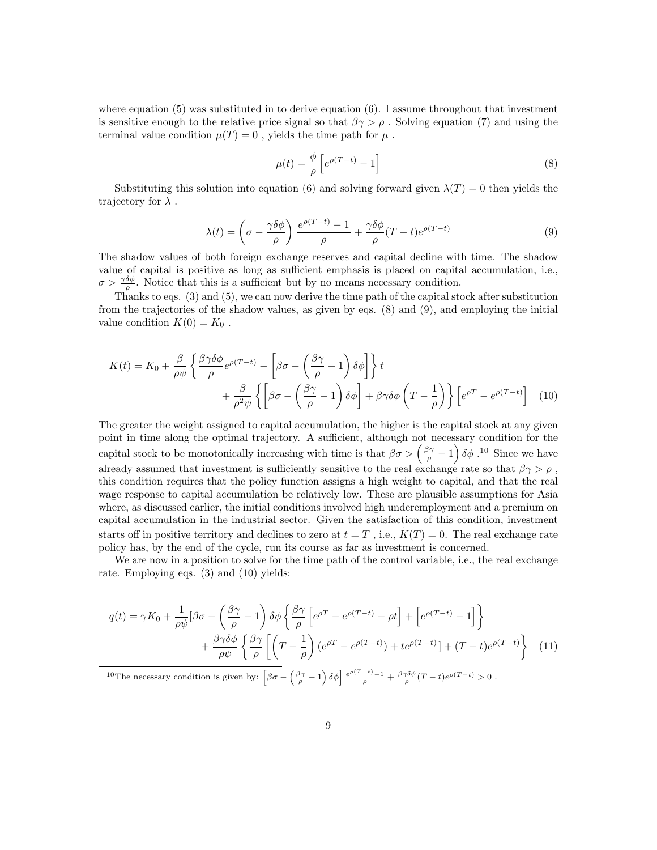where equation  $(5)$  was substituted in to derive equation  $(6)$ . I assume throughout that investment is sensitive enough to the relative price signal so that  $\beta \gamma > \rho$ . Solving equation (7) and using the terminal value condition  $\mu(T) = 0$ , yields the time path for  $\mu$ .

$$
\mu(t) = \frac{\phi}{\rho} \left[ e^{\rho(T-t)} - 1 \right] \tag{8}
$$

Substituting this solution into equation (6) and solving forward given  $\lambda(T) = 0$  then yields the trajectory for  $\lambda$ .

$$
\lambda(t) = \left(\sigma - \frac{\gamma \delta \phi}{\rho}\right) \frac{e^{\rho(T-t)} - 1}{\rho} + \frac{\gamma \delta \phi}{\rho} (T-t) e^{\rho(T-t)} \tag{9}
$$

The shadow values of both foreign exchange reserves and capital decline with time. The shadow value of capital is positive as long as sufficient emphasis is placed on capital accumulation, i.e.,  $\sigma > \frac{\gamma \delta \phi}{\rho}$ . Notice that this is a sufficient but by no means necessary condition.

Thanks to eqs. (3) and (5), we can now derive the time path of the capital stock after substitution from the trajectories of the shadow values, as given by eqs. (8) and (9), and employing the initial value condition  $K(0) = K_0$ .

$$
K(t) = K_0 + \frac{\beta}{\rho \psi} \left\{ \frac{\beta \gamma \delta \phi}{\rho} e^{\rho (T-t)} - \left[ \beta \sigma - \left( \frac{\beta \gamma}{\rho} - 1 \right) \delta \phi \right] \right\} t + \frac{\beta}{\rho^2 \psi} \left\{ \left[ \beta \sigma - \left( \frac{\beta \gamma}{\rho} - 1 \right) \delta \phi \right] + \beta \gamma \delta \phi \left( T - \frac{1}{\rho} \right) \right\} \left[ e^{\rho T} - e^{\rho (T-t)} \right] (10)
$$

The greater the weight assigned to capital accumulation, the higher is the capital stock at any given point in time along the optimal trajectory. A sufficient, although not necessary condition for the capital stock to be monotonically increasing with time is that  $\beta\sigma > \left(\frac{\beta\gamma}{\rho} - 1\right)\delta\phi$ .<sup>10</sup> Since we have already assumed that investment is sufficiently sensitive to the real exchange rate so that  $\beta \gamma > \rho$ , this condition requires that the policy function assigns a high weight to capital, and that the real wage response to capital accumulation be relatively low. These are plausible assumptions for Asia where, as discussed earlier, the initial conditions involved high underemployment and a premium on capital accumulation in the industrial sector. Given the satisfaction of this condition, investment . starts off in positive territory and declines to zero at  $t=T$ , i.e.,  $K(T)=0$ . The real exchange rate policy has, by the end of the cycle, run its course as far as investment is concerned.

We are now in a position to solve for the time path of the control variable, i.e., the real exchange rate. Employing eqs. (3) and (10) yields:

$$
q(t) = \gamma K_0 + \frac{1}{\rho \psi} \left[ \beta \sigma - \left( \frac{\beta \gamma}{\rho} - 1 \right) \delta \phi \left\{ \frac{\beta \gamma}{\rho} \left[ e^{\rho T} - e^{\rho (T - t)} - \rho t \right] + \left[ e^{\rho (T - t)} - 1 \right] \right\} + \frac{\beta \gamma \delta \phi}{\rho \psi} \left\{ \frac{\beta \gamma}{\rho} \left[ \left( T - \frac{1}{\rho} \right) \left( e^{\rho T} - e^{\rho (T - t)} \right) + t e^{\rho (T - t)} \right] + (T - t) e^{\rho (T - t)} \right\} (11) 10 \text{The necessary condition is given by: } \left[ \beta \sigma - \left( \frac{\beta \gamma}{\rho} - 1 \right) \delta \phi \right] \frac{e^{\rho (T - t)} - 1}{\rho} + \frac{\beta \gamma \delta \phi}{\rho} (T - t) e^{\rho (T - t)} > 0 .
$$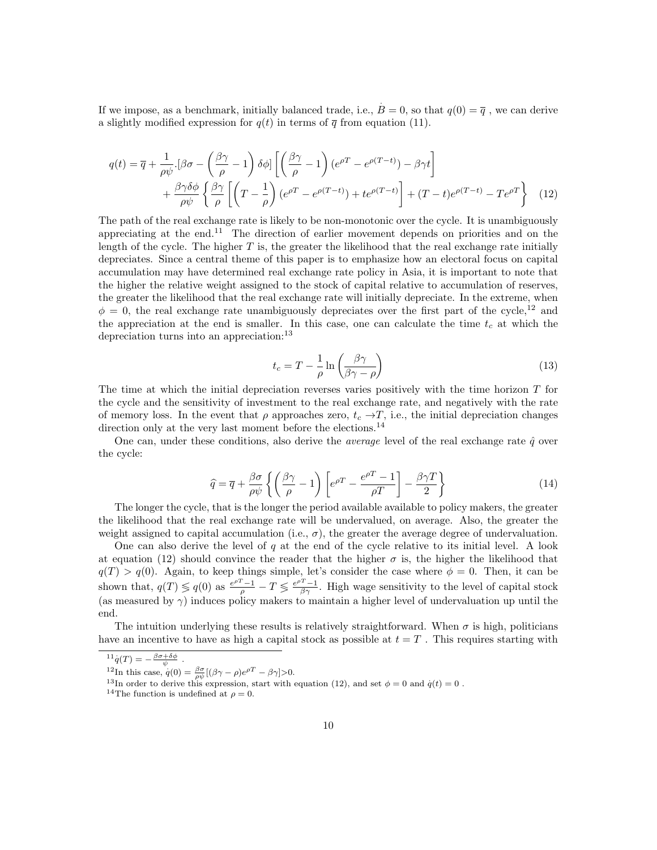If we impose, as a benchmark, initially balanced trade, i.e.,  $B = 0$ , so that  $q(0) = \overline{q}$ , we can derive a slightly modified expression for  $q(t)$  in terms of  $\bar{q}$  from equation (11).

$$
q(t) = \overline{q} + \frac{1}{\rho \psi} \cdot [\beta \sigma - \left(\frac{\beta \gamma}{\rho} - 1\right) \delta \phi] \left[ \left(\frac{\beta \gamma}{\rho} - 1\right) (e^{\rho T} - e^{\rho (T - t)}) - \beta \gamma t \right] + \frac{\beta \gamma \delta \phi}{\rho \psi} \left\{ \frac{\beta \gamma}{\rho} \left[ \left(T - \frac{1}{\rho}\right) (e^{\rho T} - e^{\rho (T - t)}) + t e^{\rho (T - t)} \right] + (T - t) e^{\rho (T - t)} - T e^{\rho T} \right\} (12)
$$

The path of the real exchange rate is likely to be non-monotonic over the cycle. It is unambiguously appreciating at the end.<sup>11</sup> The direction of earlier movement depends on priorities and on the length of the cycle. The higher  $T$  is, the greater the likelihood that the real exchange rate initially depreciates. Since a central theme of this paper is to emphasize how an electoral focus on capital accumulation may have determined real exchange rate policy in Asia, it is important to note that the higher the relative weight assigned to the stock of capital relative to accumulation of reserves, the greater the likelihood that the real exchange rate will initially depreciate. In the extreme, when  $\phi = 0$ , the real exchange rate unambiguously depreciates over the first part of the cycle,<sup>12</sup> and the appreciation at the end is smaller. In this case, one can calculate the time  $t_c$  at which the depreciation turns into an appreciation:<sup>13</sup>

$$
t_c = T - \frac{1}{\rho} \ln \left( \frac{\beta \gamma}{\beta \gamma - \rho} \right) \tag{13}
$$

The time at which the initial depreciation reverses varies positively with the time horizon T for the cycle and the sensitivity of investment to the real exchange rate, and negatively with the rate of memory loss. In the event that  $\rho$  approaches zero,  $t_c \rightarrow T$ , i.e., the initial depreciation changes direction only at the very last moment before the elections.<sup>14</sup>

One can, under these conditions, also derive the *average* level of the real exchange rate  $\hat{q}$  over the cycle:

$$
\widehat{q} = \overline{q} + \frac{\beta \sigma}{\rho \psi} \left\{ \left( \frac{\beta \gamma}{\rho} - 1 \right) \left[ e^{\rho T} - \frac{e^{\rho T} - 1}{\rho T} \right] - \frac{\beta \gamma T}{2} \right\} \tag{14}
$$

The longer the cycle, that is the longer the period available available to policy makers, the greater the likelihood that the real exchange rate will be undervalued, on average. Also, the greater the weight assigned to capital accumulation (i.e.,  $\sigma$ ), the greater the average degree of undervaluation.

One can also derive the level of  $q$  at the end of the cycle relative to its initial level. A look at equation (12) should convince the reader that the higher  $\sigma$  is, the higher the likelihood that  $q(T) > q(0)$ . Again, to keep things simple, let's consider the case where  $\phi = 0$ . Then, it can be shown that,  $q(T) \leq q(0)$  as  $\frac{e^{\rho T}-1}{\rho} - T \leq \frac{e^{\rho T}-1}{\beta \gamma}$ . High wage sensitivity to the level of capital stock (as measured by  $\gamma$ ) induces policy makers to maintain a higher level of undervaluation up until the end.

The intuition underlying these results is relatively straightforward. When  $\sigma$  is high, politicians have an incentive to have as high a capital stock as possible at  $t = T$ . This requires starting with

 $^{11}q(T) = -\frac{\beta\sigma + \delta\phi}{\psi}$ .

<sup>&</sup>lt;sup>12</sup>In this case,  $q(0) = \frac{\beta \sigma}{\rho \psi} [(\beta \gamma - \rho) e^{\rho T} - \beta \gamma] > 0.$ 

<sup>&</sup>lt;sup>13</sup>In order to derive this expression, start with equation (12), and set  $\phi = 0$  and  $\dot{q}(t) = 0$ .

<sup>&</sup>lt;sup>14</sup>The function is undefined at  $\rho = 0$ .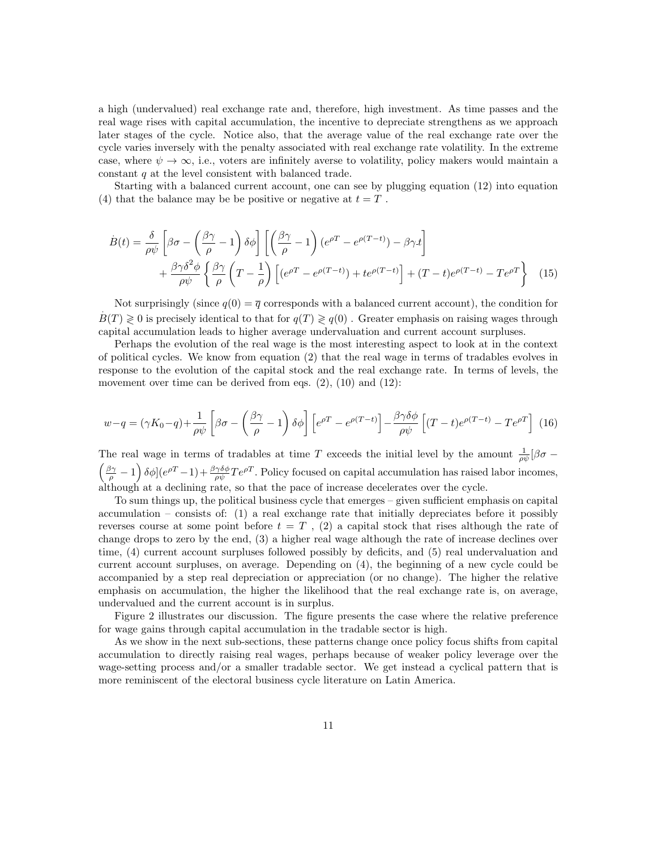a high (undervalued) real exchange rate and, therefore, high investment. As time passes and the real wage rises with capital accumulation, the incentive to depreciate strengthens as we approach later stages of the cycle. Notice also, that the average value of the real exchange rate over the cycle varies inversely with the penalty associated with real exchange rate volatility. In the extreme case, where  $\psi \to \infty$ , i.e., voters are infinitely averse to volatility, policy makers would maintain a constant q at the level consistent with balanced trade.

Starting with a balanced current account, one can see by plugging equation (12) into equation (4) that the balance may be be positive or negative at  $t = T$ .

$$
\dot{B}(t) = \frac{\delta}{\rho\psi} \left[ \beta\sigma - \left(\frac{\beta\gamma}{\rho} - 1\right) \delta\phi \right] \left[ \left(\frac{\beta\gamma}{\rho} - 1\right) (e^{\rho T} - e^{\rho(T-t)}) - \beta\gamma t \right] \n+ \frac{\beta\gamma\delta^2\phi}{\rho\psi} \left\{ \frac{\beta\gamma}{\rho} \left( T - \frac{1}{\rho} \right) \left[ (e^{\rho T} - e^{\rho(T-t)}) + te^{\rho(T-t)} \right] + (T-t)e^{\rho(T-t)} - Te^{\rho T} \right\} \tag{15}
$$

Not surprisingly (since  $q(0) = \overline{q}$  corresponds with a balanced current account), the condition for  $B(T) \geq 0$  is precisely identical to that for  $q(T) \geq q(0)$ . Greater emphasis on raising wages through capital accumulation leads to higher average undervaluation and current account surpluses.

Perhaps the evolution of the real wage is the most interesting aspect to look at in the context of political cycles. We know from equation (2) that the real wage in terms of tradables evolves in response to the evolution of the capital stock and the real exchange rate. In terms of levels, the movement over time can be derived from eqs.  $(2)$ ,  $(10)$  and  $(12)$ :

$$
w - q = (\gamma K_0 - q) + \frac{1}{\rho \psi} \left[ \beta \sigma - \left( \frac{\beta \gamma}{\rho} - 1 \right) \delta \phi \right] \left[ e^{\rho T} - e^{\rho (T - t)} \right] - \frac{\beta \gamma \delta \phi}{\rho \psi} \left[ (T - t) e^{\rho (T - t)} - T e^{\rho T} \right] (16)
$$

The real wage in terms of tradables at time T exceeds the initial level by the amount  $\frac{1}{\rho\psi}[\beta\sigma \left(\frac{\beta\gamma}{\rho}-1\right)\delta\phi$   $(e^{\rho T}-1)+\frac{\beta\gamma\delta\phi}{\rho\psi}Te^{\rho T}$ . Policy focused on capital accumulation has raised labor incomes, although at a declining rate, so that the pace of increase decelerates over the cycle.

To sum things up, the political business cycle that emerges – given sufficient emphasis on capital accumulation – consists of:  $(1)$  a real exchange rate that initially depreciates before it possibly reverses course at some point before  $t = T$ , (2) a capital stock that rises although the rate of change drops to zero by the end, (3) a higher real wage although the rate of increase declines over time, (4) current account surpluses followed possibly by deficits, and (5) real undervaluation and current account surpluses, on average. Depending on (4), the beginning of a new cycle could be accompanied by a step real depreciation or appreciation (or no change). The higher the relative emphasis on accumulation, the higher the likelihood that the real exchange rate is, on average, undervalued and the current account is in surplus.

Figure 2 illustrates our discussion. The figure presents the case where the relative preference for wage gains through capital accumulation in the tradable sector is high.

As we show in the next sub-sections, these patterns change once policy focus shifts from capital accumulation to directly raising real wages, perhaps because of weaker policy leverage over the wage-setting process and/or a smaller tradable sector. We get instead a cyclical pattern that is more reminiscent of the electoral business cycle literature on Latin America.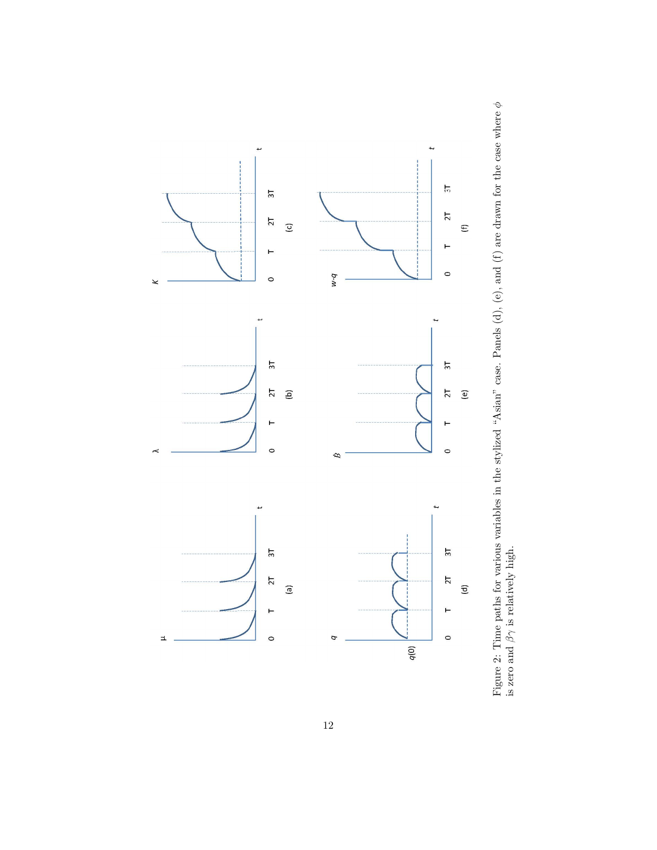

Figure 2: Time paths for various variables in the stylized "Asian" case. Panels (d), (e), and (f) are drawn for the case where φ is zero and  $\beta\gamma$  is relatively high.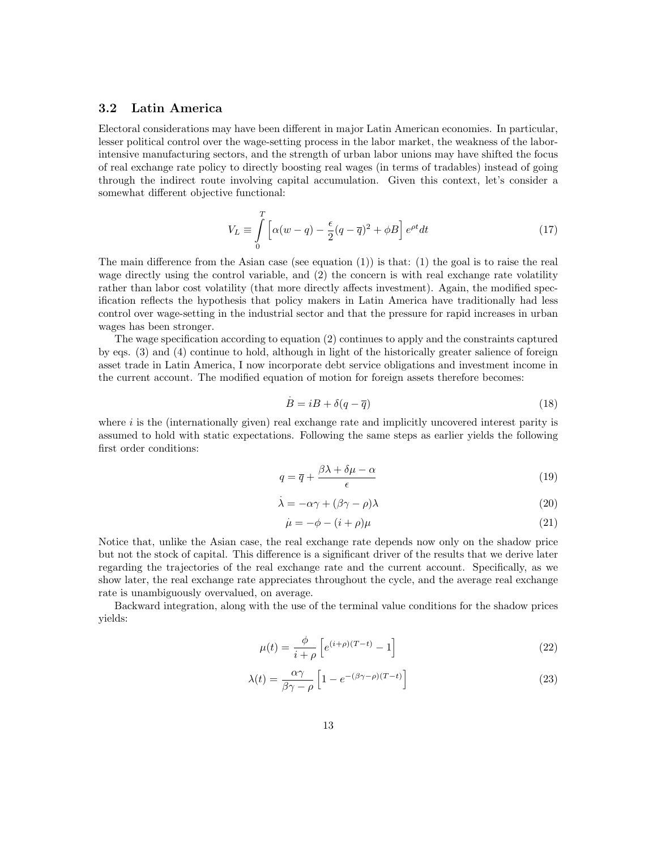#### 3.2 Latin America

Electoral considerations may have been different in major Latin American economies. In particular, lesser political control over the wage-setting process in the labor market, the weakness of the laborintensive manufacturing sectors, and the strength of urban labor unions may have shifted the focus of real exchange rate policy to directly boosting real wages (in terms of tradables) instead of going through the indirect route involving capital accumulation. Given this context, let's consider a somewhat different objective functional:

$$
V_L \equiv \int\limits_0^T \left[ \alpha (w - q) - \frac{\epsilon}{2} (q - \overline{q})^2 + \phi B \right] e^{\rho t} dt \tag{17}
$$

The main difference from the Asian case (see equation  $(1)$ ) is that:  $(1)$  the goal is to raise the real wage directly using the control variable, and (2) the concern is with real exchange rate volatility rather than labor cost volatility (that more directly affects investment). Again, the modified specification reflects the hypothesis that policy makers in Latin America have traditionally had less control over wage-setting in the industrial sector and that the pressure for rapid increases in urban wages has been stronger.

The wage specification according to equation (2) continues to apply and the constraints captured by eqs. (3) and (4) continue to hold, although in light of the historically greater salience of foreign asset trade in Latin America, I now incorporate debt service obligations and investment income in the current account. The modified equation of motion for foreign assets therefore becomes:

$$
\dot{B} = iB + \delta(q - \overline{q})\tag{18}
$$

where  $i$  is the (internationally given) real exchange rate and implicitly uncovered interest parity is assumed to hold with static expectations. Following the same steps as earlier yields the following first order conditions:

$$
q = \overline{q} + \frac{\beta \lambda + \delta \mu - \alpha}{\epsilon} \tag{19}
$$

$$
\dot{\lambda} = -\alpha \gamma + (\beta \gamma - \rho)\lambda \tag{20}
$$

$$
\dot{\mu} = -\phi - (i + \rho)\mu\tag{21}
$$

Notice that, unlike the Asian case, the real exchange rate depends now only on the shadow price but not the stock of capital. This difference is a significant driver of the results that we derive later regarding the trajectories of the real exchange rate and the current account. Specifically, as we show later, the real exchange rate appreciates throughout the cycle, and the average real exchange rate is unambiguously overvalued, on average.

Backward integration, along with the use of the terminal value conditions for the shadow prices yields:

$$
\mu(t) = \frac{\phi}{i+\rho} \left[ e^{(i+\rho)(T-t)} - 1 \right] \tag{22}
$$

$$
\lambda(t) = \frac{\alpha \gamma}{\beta \gamma - \rho} \left[ 1 - e^{-(\beta \gamma - \rho)(T - t)} \right]
$$
\n(23)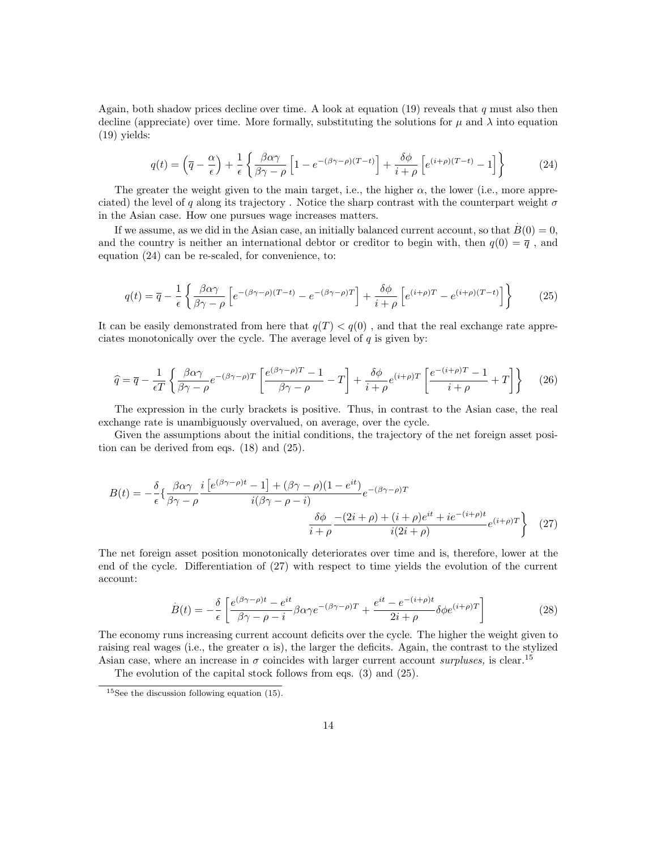Again, both shadow prices decline over time. A look at equation (19) reveals that q must also then decline (appreciate) over time. More formally, substituting the solutions for  $\mu$  and  $\lambda$  into equation (19) yields:

$$
q(t) = \left(\overline{q} - \frac{\alpha}{\epsilon}\right) + \frac{1}{\epsilon} \left\{ \frac{\beta \alpha \gamma}{\beta \gamma - \rho} \left[1 - e^{-(\beta \gamma - \rho)(T - t)}\right] + \frac{\delta \phi}{i + \rho} \left[e^{(i + \rho)(T - t)} - 1\right] \right\} \tag{24}
$$

The greater the weight given to the main target, i.e., the higher  $\alpha$ , the lower (i.e., more appreciated) the level of q along its trajectory. Notice the sharp contrast with the counterpart weight  $\sigma$ in the Asian case. How one pursues wage increases matters.

If we assume, as we did in the Asian case, an initially balanced current account, so that  $B(0) = 0$ , and the country is neither an international debtor or creditor to begin with, then  $q(0) = \overline{q}$ , and equation (24) can be re-scaled, for convenience, to:

$$
q(t) = \overline{q} - \frac{1}{\epsilon} \left\{ \frac{\beta \alpha \gamma}{\beta \gamma - \rho} \left[ e^{-(\beta \gamma - \rho)(T - t)} - e^{-(\beta \gamma - \rho)T} \right] + \frac{\delta \phi}{i + \rho} \left[ e^{(i + \rho)T} - e^{(i + \rho)(T - t)} \right] \right\}
$$
(25)

It can be easily demonstrated from here that  $q(T) < q(0)$ , and that the real exchange rate appreciates monotonically over the cycle. The average level of  $q$  is given by:

$$
\hat{q} = \overline{q} - \frac{1}{\epsilon T} \left\{ \frac{\beta \alpha \gamma}{\beta \gamma - \rho} e^{-(\beta \gamma - \rho)T} \left[ \frac{e^{(\beta \gamma - \rho)T} - 1}{\beta \gamma - \rho} - T \right] + \frac{\delta \phi}{i + \rho} e^{(i + \rho)T} \left[ \frac{e^{-(i + \rho)T} - 1}{i + \rho} + T \right] \right\}
$$
(26)

The expression in the curly brackets is positive. Thus, in contrast to the Asian case, the real exchange rate is unambiguously overvalued, on average, over the cycle.

Given the assumptions about the initial conditions, the trajectory of the net foreign asset position can be derived from eqs. (18) and (25).

$$
B(t) = -\frac{\delta}{\epsilon} \left\{ \frac{\beta \alpha \gamma}{\beta \gamma - \rho} \frac{i \left[ e^{(\beta \gamma - \rho)t} - 1 \right] + (\beta \gamma - \rho)(1 - e^{it})}{i(\beta \gamma - \rho - i)} e^{-(\beta \gamma - \rho)T} \frac{\delta \phi}{i + \rho} \frac{-(2i + \rho) + (i + \rho)e^{it} + ie^{-(i + \rho)t}}{i(2i + \rho)} e^{(i + \rho)T} \right\}
$$
(27)

The net foreign asset position monotonically deteriorates over time and is, therefore, lower at the end of the cycle. Differentiation of (27) with respect to time yields the evolution of the current account:

$$
\dot{B}(t) = -\frac{\delta}{\epsilon} \left[ \frac{e^{(\beta\gamma - \rho)t} - e^{it}}{\beta\gamma - \rho - i} \beta \alpha \gamma e^{-(\beta\gamma - \rho)T} + \frac{e^{it} - e^{-(i+\rho)t}}{2i + \rho} \delta \phi e^{(i+\rho)T} \right]
$$
(28)

The economy runs increasing current account deficits over the cycle. The higher the weight given to raising real wages (i.e., the greater  $\alpha$  is), the larger the deficits. Again, the contrast to the stylized Asian case, where an increase in  $\sigma$  coincides with larger current account surpluses, is clear.<sup>15</sup>

The evolution of the capital stock follows from eqs. (3) and (25).

<sup>&</sup>lt;sup>15</sup>See the discussion following equation (15).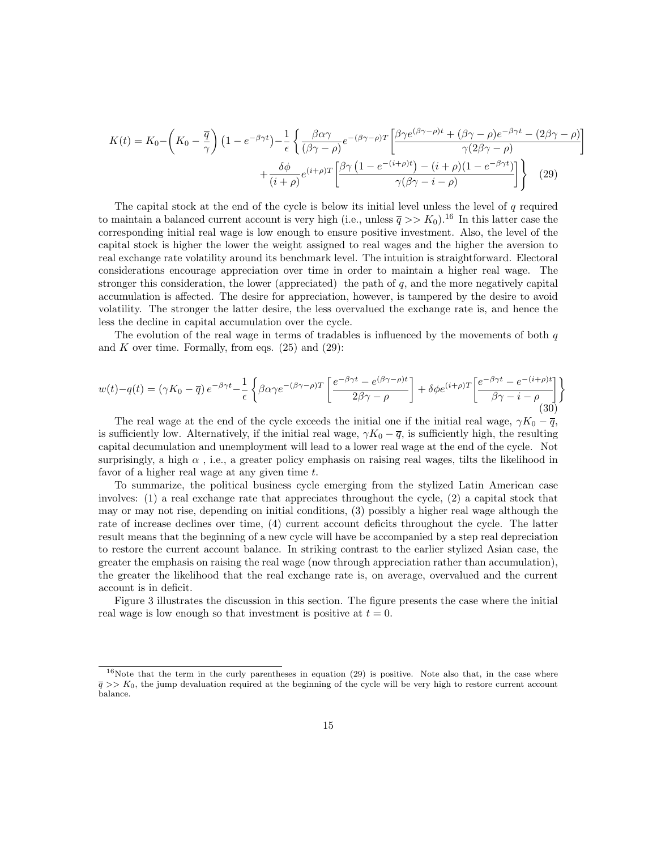$$
K(t) = K_0 - \left(K_0 - \frac{\overline{q}}{\gamma}\right) \left(1 - e^{-\beta \gamma t}\right) - \frac{1}{\epsilon} \left\{ \frac{\beta \alpha \gamma}{(\beta \gamma - \rho)} e^{-(\beta \gamma - \rho)T} \left[\frac{\beta \gamma e^{(\beta \gamma - \rho)t} + (\beta \gamma - \rho) e^{-\beta \gamma t} - (2\beta \gamma - \rho)}{\gamma (2\beta \gamma - \rho)} + \frac{\delta \phi}{(i + \rho)} e^{(i + \rho)T} \left[\frac{\beta \gamma \left(1 - e^{-(i + \rho)t}\right) - (i + \rho)(1 - e^{-\beta \gamma t})}{\gamma (\beta \gamma - i - \rho)}\right] \right\}
$$
(29)

1

The capital stock at the end of the cycle is below its initial level unless the level of  $q$  required to maintain a balanced current account is very high (i.e., unless  $\bar{q} >> K_0$ ).<sup>16</sup> In this latter case the corresponding initial real wage is low enough to ensure positive investment. Also, the level of the capital stock is higher the lower the weight assigned to real wages and the higher the aversion to real exchange rate volatility around its benchmark level. The intuition is straightforward. Electoral considerations encourage appreciation over time in order to maintain a higher real wage. The stronger this consideration, the lower (appreciated) the path of  $q$ , and the more negatively capital accumulation is affected. The desire for appreciation, however, is tampered by the desire to avoid volatility. The stronger the latter desire, the less overvalued the exchange rate is, and hence the less the decline in capital accumulation over the cycle.

The evolution of the real wage in terms of tradables is influenced by the movements of both  $q$ and  $K$  over time. Formally, from eqs.  $(25)$  and  $(29)$ :

$$
w(t) - q(t) = (\gamma K_0 - \overline{q}) e^{-\beta \gamma t} - \frac{1}{\epsilon} \left\{ \beta \alpha \gamma e^{-(\beta \gamma - \rho)T} \left[ \frac{e^{-\beta \gamma t} - e^{(\beta \gamma - \rho)t}}{2\beta \gamma - \rho} \right] + \delta \phi e^{(i+\rho)T} \left[ \frac{e^{-\beta \gamma t} - e^{-(i+\rho)t}}{\beta \gamma - i - \rho} \right] \right\}
$$
(30)

The real wage at the end of the cycle exceeds the initial one if the initial real wage,  $\gamma K_0 - \bar{q}$ , is sufficiently low. Alternatively, if the initial real wage,  $\gamma K_0 - \overline{q}$ , is sufficiently high, the resulting capital decumulation and unemployment will lead to a lower real wage at the end of the cycle. Not surprisingly, a high  $\alpha$ , i.e., a greater policy emphasis on raising real wages, tilts the likelihood in favor of a higher real wage at any given time t.

To summarize, the political business cycle emerging from the stylized Latin American case involves: (1) a real exchange rate that appreciates throughout the cycle, (2) a capital stock that may or may not rise, depending on initial conditions, (3) possibly a higher real wage although the rate of increase declines over time, (4) current account deficits throughout the cycle. The latter result means that the beginning of a new cycle will have be accompanied by a step real depreciation to restore the current account balance. In striking contrast to the earlier stylized Asian case, the greater the emphasis on raising the real wage (now through appreciation rather than accumulation), the greater the likelihood that the real exchange rate is, on average, overvalued and the current account is in deficit.

Figure 3 illustrates the discussion in this section. The figure presents the case where the initial real wage is low enough so that investment is positive at  $t = 0$ .

<sup>&</sup>lt;sup>16</sup>Note that the term in the curly parentheses in equation (29) is positive. Note also that, in the case where  $\bar{q}$  >> K<sub>0</sub>, the jump devaluation required at the beginning of the cycle will be very high to restore current account balance.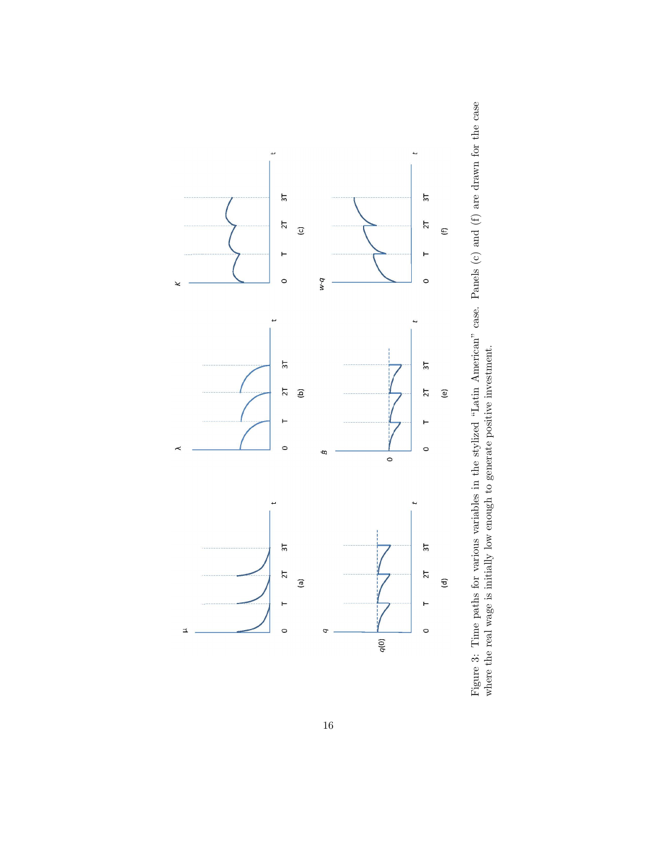

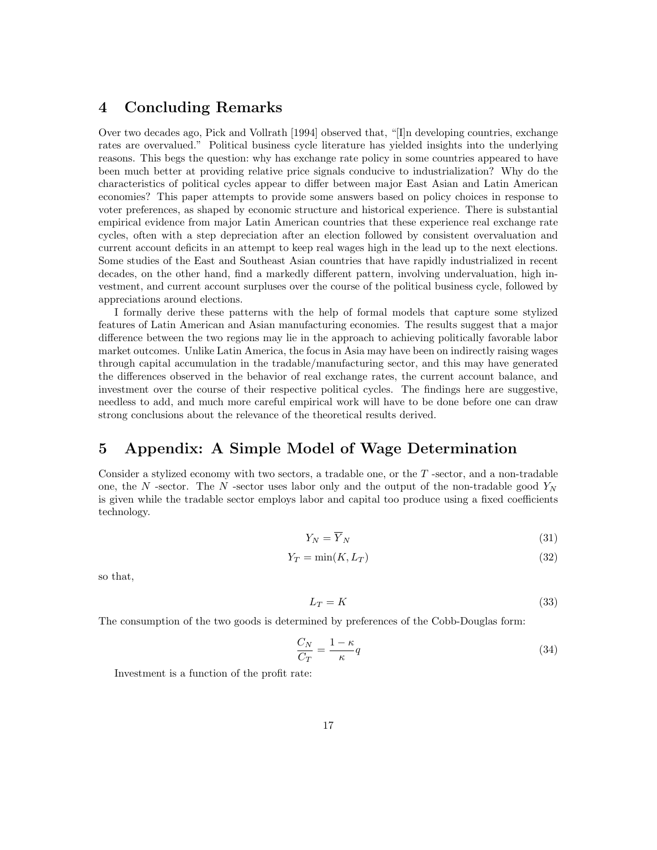## 4 Concluding Remarks

Over two decades ago, Pick and Vollrath [1994] observed that, "[I]n developing countries, exchange rates are overvalued." Political business cycle literature has yielded insights into the underlying reasons. This begs the question: why has exchange rate policy in some countries appeared to have been much better at providing relative price signals conducive to industrialization? Why do the characteristics of political cycles appear to differ between major East Asian and Latin American economies? This paper attempts to provide some answers based on policy choices in response to voter preferences, as shaped by economic structure and historical experience. There is substantial empirical evidence from major Latin American countries that these experience real exchange rate cycles, often with a step depreciation after an election followed by consistent overvaluation and current account deficits in an attempt to keep real wages high in the lead up to the next elections. Some studies of the East and Southeast Asian countries that have rapidly industrialized in recent decades, on the other hand, find a markedly different pattern, involving undervaluation, high investment, and current account surpluses over the course of the political business cycle, followed by appreciations around elections.

I formally derive these patterns with the help of formal models that capture some stylized features of Latin American and Asian manufacturing economies. The results suggest that a major difference between the two regions may lie in the approach to achieving politically favorable labor market outcomes. Unlike Latin America, the focus in Asia may have been on indirectly raising wages through capital accumulation in the tradable/manufacturing sector, and this may have generated the differences observed in the behavior of real exchange rates, the current account balance, and investment over the course of their respective political cycles. The findings here are suggestive, needless to add, and much more careful empirical work will have to be done before one can draw strong conclusions about the relevance of the theoretical results derived.

## 5 Appendix: A Simple Model of Wage Determination

Consider a stylized economy with two sectors, a tradable one, or the T -sector, and a non-tradable one, the N -sector. The N -sector uses labor only and the output of the non-tradable good  $Y_N$ is given while the tradable sector employs labor and capital too produce using a fixed coefficients technology.

$$
Y_N = \overline{Y}_N \tag{31}
$$

$$
Y_T = \min(K, L_T) \tag{32}
$$

so that,

$$
L_T = K \tag{33}
$$

The consumption of the two goods is determined by preferences of the Cobb-Douglas form:

$$
\frac{C_N}{C_T} = \frac{1 - \kappa}{\kappa} q \tag{34}
$$

Investment is a function of the profit rate: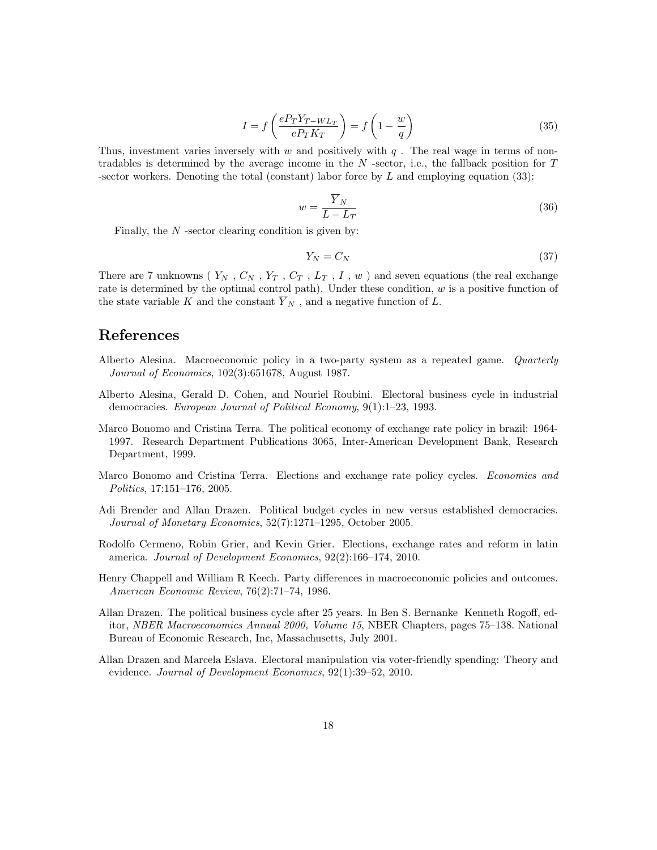$$
I = f\left(\frac{eP_T Y_{T-WL_T}}{eP_T K_T}\right) = f\left(1 - \frac{w}{q}\right)
$$
\n(35)

Thus, investment varies inversely with w and positively with  $q$ . The real wage in terms of nontradables is determined by the average income in the  $N$  -sector, i.e., the fallback position for  $T$ -sector workers. Denoting the total (constant) labor force by  $L$  and employing equation (33):

$$
w = \frac{\overline{Y}_N}{L - L_T} \tag{36}
$$

Finally, the  $N$ -sector clearing condition is given by:

$$
Y_N = C_N \tag{37}
$$

There are 7 unknowns ( $Y_N$ ,  $C_N$ ,  $Y_T$ ,  $C_T$ ,  $L_T$ ,  $I$ ,  $w$ ) and seven equations (the real exchange rate is determined by the optimal control path). Under these condition,  $w$  is a positive function of the state variable K and the constant  $\overline{Y}_N$ , and a negative function of L.

#### References

- Alberto Alesina. Macroeconomic policy in a two-party system as a repeated game. Quarterly Journal of Economics, 102(3):651678, August 1987.
- Alberto Alesina, Gerald D. Cohen, and Nouriel Roubini. Electoral business cycle in industrial democracies. European Journal of Political Economy, 9(1):1–23, 1993.
- Marco Bonomo and Cristina Terra. The political economy of exchange rate policy in brazil: 1964- 1997. Research Department Publications 3065, Inter-American Development Bank, Research Department, 1999.
- Marco Bonomo and Cristina Terra. Elections and exchange rate policy cycles. *Economics and* Politics, 17:151–176, 2005.
- Adi Brender and Allan Drazen. Political budget cycles in new versus established democracies. Journal of Monetary Economics, 52(7):1271–1295, October 2005.
- Rodolfo Cermeno, Robin Grier, and Kevin Grier. Elections, exchange rates and reform in latin america. Journal of Development Economics, 92(2):166–174, 2010.
- Henry Chappell and William R Keech. Party differences in macroeconomic policies and outcomes. American Economic Review, 76(2):71–74, 1986.
- Allan Drazen. The political business cycle after 25 years. In Ben S. Bernanke Kenneth Rogoff, editor, NBER Macroeconomics Annual 2000, Volume 15, NBER Chapters, pages 75–138. National Bureau of Economic Research, Inc, Massachusetts, July 2001.
- Allan Drazen and Marcela Eslava. Electoral manipulation via voter-friendly spending: Theory and evidence. Journal of Development Economics, 92(1):39-52, 2010.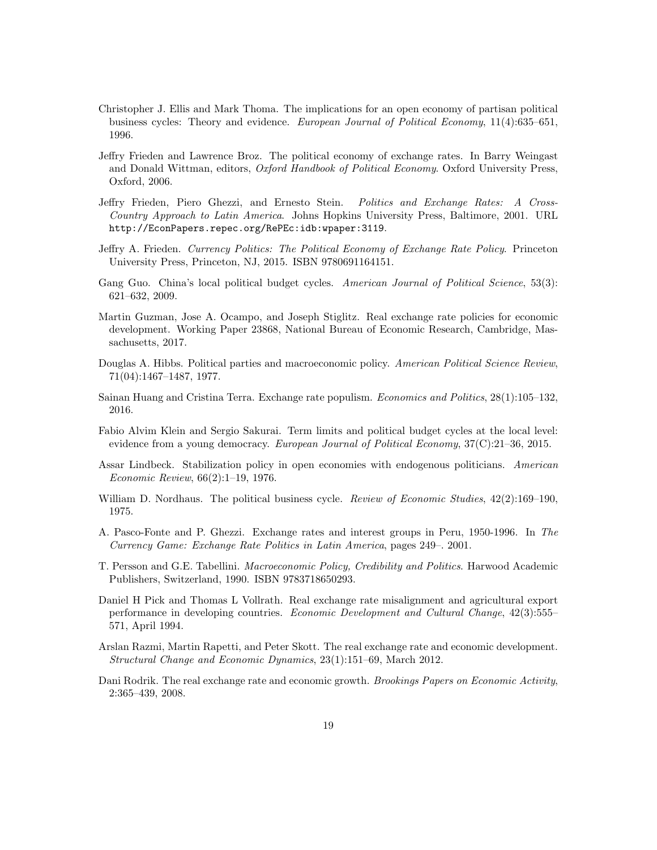- Christopher J. Ellis and Mark Thoma. The implications for an open economy of partisan political business cycles: Theory and evidence. European Journal of Political Economy, 11(4):635–651, 1996.
- Jeffry Frieden and Lawrence Broz. The political economy of exchange rates. In Barry Weingast and Donald Wittman, editors, *Oxford Handbook of Political Economy*. Oxford University Press, Oxford, 2006.
- Jeffry Frieden, Piero Ghezzi, and Ernesto Stein. Politics and Exchange Rates: A Cross-Country Approach to Latin America. Johns Hopkins University Press, Baltimore, 2001. URL http://EconPapers.repec.org/RePEc:idb:wpaper:3119.
- Jeffry A. Frieden. Currency Politics: The Political Economy of Exchange Rate Policy. Princeton University Press, Princeton, NJ, 2015. ISBN 9780691164151.
- Gang Guo. China's local political budget cycles. American Journal of Political Science, 53(3): 621–632, 2009.
- Martin Guzman, Jose A. Ocampo, and Joseph Stiglitz. Real exchange rate policies for economic development. Working Paper 23868, National Bureau of Economic Research, Cambridge, Massachusetts, 2017.
- Douglas A. Hibbs. Political parties and macroeconomic policy. American Political Science Review, 71(04):1467–1487, 1977.
- Sainan Huang and Cristina Terra. Exchange rate populism. Economics and Politics, 28(1):105–132, 2016.
- Fabio Alvim Klein and Sergio Sakurai. Term limits and political budget cycles at the local level: evidence from a young democracy. European Journal of Political Economy,  $37(C)$ :21–36, 2015.
- Assar Lindbeck. Stabilization policy in open economies with endogenous politicians. American Economic Review, 66(2):1–19, 1976.
- William D. Nordhaus. The political business cycle. Review of Economic Studies,  $42(2):169-190$ , 1975.
- A. Pasco-Fonte and P. Ghezzi. Exchange rates and interest groups in Peru, 1950-1996. In The Currency Game: Exchange Rate Politics in Latin America, pages 249–. 2001.
- T. Persson and G.E. Tabellini. Macroeconomic Policy, Credibility and Politics. Harwood Academic Publishers, Switzerland, 1990. ISBN 9783718650293.
- Daniel H Pick and Thomas L Vollrath. Real exchange rate misalignment and agricultural export performance in developing countries. Economic Development and Cultural Change, 42(3):555– 571, April 1994.
- Arslan Razmi, Martin Rapetti, and Peter Skott. The real exchange rate and economic development. Structural Change and Economic Dynamics, 23(1):151–69, March 2012.
- Dani Rodrik. The real exchange rate and economic growth. Brookings Papers on Economic Activity, 2:365–439, 2008.